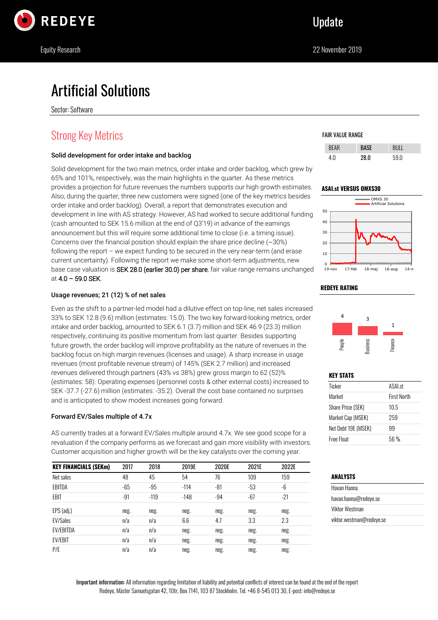

# Artificial Solutions

Sector: Software

# Strong Key Metrics

#### Solid development for order intake and backlog

Solid development for the two main metrics, order intake and order backlog, which grew by 65% and 101%, respectively, was the main highlights in the quarter. As these metrics provides a projection for future revenues the numbers supports our high growth estimates. Also, during the quarter, three new customers were signed (one of the key metrics besides order intake and order backlog). Overall, a report that demonstrates execution and development in line with AS strategy. However, AS had worked to secure additional funding (cash amounted to SEK 15.6 million at the end of Q3'19) in advance of the earnings announcement but this will require some additional time to close (i.e. a timing issue). Concerns over the financial position should explain the share price decline  $(\sim 30\%)$ following the report – we expect funding to be secured in the very near-term (and erase current uncertainty). Following the report we make some short-term adjustments, new base case valuation is SEK 28.0 (earlier 30.0) per share, fair value range remains unchanged at 4.0 – 59.0 SEK.

#### Usage revenues; 21 (12) % of net sales

Even as the shift to a partner-led model had a dilutive effect on top-line, net sales increased 33% to SEK 12.8 (9.6) million (estimates: 15.0). The two key forward-looking metrics, order intake and order backlog, amounted to SEK 6.1 (3.7) million and SEK 46.9 (23.3) million respectively, continuing its positive momentum from last quarter. Besides supporting future growth, the order backlog will improve profitability as the nature of revenues in the backlog focus on high margin revenues (licenses and usage). A sharp increase in usage revenues (most profitable revenue stream) of 145% (SEK 2.7 million) and increased revenues delivered through partners (43% vs 38%) grew gross margin to 62 (52)% (estimates: 58). Operating expenses (personnel costs & other external costs) increased to SEK -37.7 (-27.6) million (estimates: -35.2). Overall the cost base contained no surprises and is anticipated to show modest increases going forward.

#### Forward EV/Sales multiple of 4.7x

AS currently trades at a forward EV/Sales multiple around 4.7x. We see good scope for a revaluation if the company performs as we forecast and gain more visibility with investors. Customer acquisition and higher growth will be the key catalysts over the coming year.

| <b>KEY FINANCIALS (SEKm)</b> | 2017  | 2018   | 2019E  | 2020E | 2021E | 2022E |
|------------------------------|-------|--------|--------|-------|-------|-------|
| Net sales                    | 48    | 45     | 54     | 76    | 109   | 159   |
| EBITDA                       | $-65$ | $-95$  | $-114$ | -81   | $-53$ | -6    |
| <b>EBIT</b>                  | $-91$ | $-119$ | $-148$ | $-94$ | $-67$ | -21   |
| EPS (adj.)                   | neg.  | neg.   | neg.   | neg.  | neg.  | neg.  |
| <b>EV/Sales</b>              | n/a   | n/a    | 6.6    | 4.7   | 3.3   | 2.3   |
| <b>EV/EBITDA</b>             | n/a   | n/a    | neg.   | neg.  | neg.  | neg.  |
| <b>EV/EBIT</b>               | n/a   | n/a    | neg.   | neg.  | neg.  | neg.  |
| P/E                          | n/a   | n/a    | neg.   | neg.  | neg.  | neg.  |

#### FAIR VALUE RANGE

| <b>BFAR</b> | 150  |      |
|-------------|------|------|
|             | 28 N | 59 N |



19-nov 17-feb 18-maj 16-aug 14-n

### **REDEYE RATING**

0



#### **KEY STATS**

| Ticker                   | <b>ASALst</b>      |
|--------------------------|--------------------|
| Market                   | <b>First North</b> |
| <b>Share Price (SEK)</b> | 10.5               |
| Market Cap (MSEK)        | 259                |
| Net Debt 19E (MSEK)      | 99                 |
| Free Float               | 56 %               |

### **ANALYSTS**

| Havan Hanna              |  |
|--------------------------|--|
| havan.hanna@redeye.se    |  |
| Viktor Westman           |  |
| viktor.westman@redeye.se |  |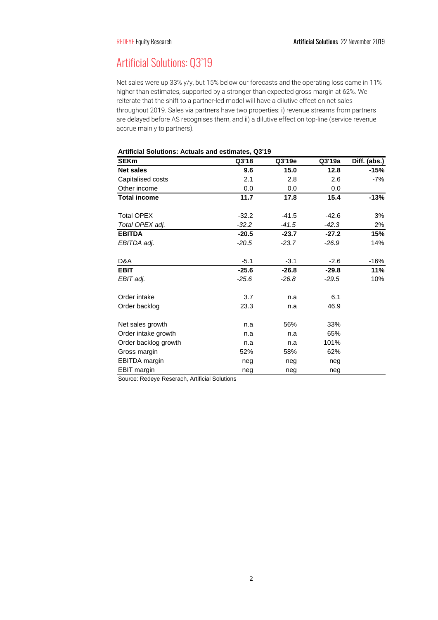# Artificial Solutions: Q3'19

Net sales were up 33% y/y, but 15% below our forecasts and the operating loss came in 11% higher than estimates, supported by a stronger than expected gross margin at 62%. We reiterate that the shift to a partner-led model will have a dilutive effect on net sales throughout 2019. Sales via partners have two properties: i) revenue streams from partners are delayed before AS recognises them, and ii) a dilutive effect on top-line (service revenue accrue mainly to partners).

| Arthual Obidions. Actuais and estimates, Qui is |         |         |         |              |
|-------------------------------------------------|---------|---------|---------|--------------|
| <b>SEKm</b>                                     | Q3'18   | Q3'19e  | Q3'19a  | Diff. (abs.) |
| <b>Net sales</b>                                | 9.6     | 15.0    | 12.8    | $-15%$       |
| Capitalised costs                               | 2.1     | 2.8     | 2.6     | -7%          |
| Other income                                    | 0.0     | 0.0     | 0.0     |              |
| <b>Total income</b>                             | 11.7    | 17.8    | 15.4    | $-13%$       |
| <b>Total OPEX</b>                               | $-32.2$ | $-41.5$ | $-42.6$ | 3%           |
| Total OPEX adj.                                 | $-32.2$ | $-41.5$ | $-42.3$ | 2%           |
| <b>EBITDA</b>                                   | $-20.5$ | $-23.7$ | $-27.2$ | 15%          |
| EBITDA adj.                                     | $-20.5$ | $-23.7$ | $-26.9$ | 14%          |
| D&A                                             | $-5.1$  | $-3.1$  | $-2.6$  | -16%         |
| <b>EBIT</b>                                     | $-25.6$ | $-26.8$ | $-29.8$ | 11%          |
| EBIT adj.                                       | $-25.6$ | $-26.8$ | $-29.5$ | 10%          |
| Order intake                                    | 3.7     | n.a     | 6.1     |              |
| Order backlog                                   | 23.3    | n.a     | 46.9    |              |
| Net sales growth                                | n.a     | 56%     | 33%     |              |
| Order intake growth                             | n.a     | n.a     | 65%     |              |
| Order backlog growth                            | n.a     | n.a     | 101%    |              |
| Gross margin                                    | 52%     | 58%     | 62%     |              |
| EBITDA margin                                   | neg     | neg     | neg     |              |
| <b>EBIT</b> margin                              | neg     | neg     | neg     |              |

### **Artificial Solutions: Actuals and estimates, Q3'19**

Source: Redeye Reserach, Artificial Solutions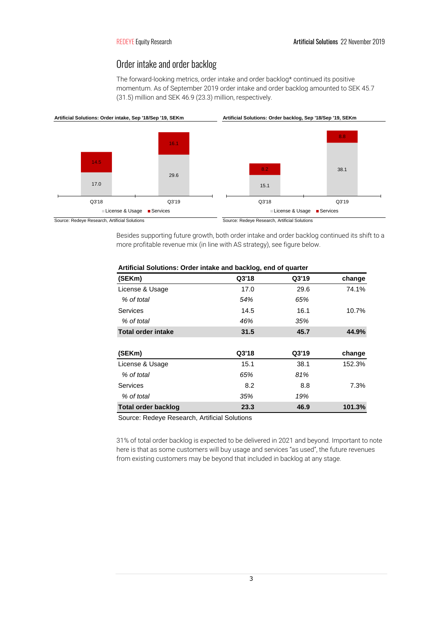### Order intake and order backlog

The forward-looking metrics, order intake and order backlog\* continued its positive momentum. As of September 2019 order intake and order backlog amounted to SEK 45.7 (31.5) million and SEK 46.9 (23.3) million, respectively.



Besides supporting future growth, both order intake and order backlog continued its shift to a more profitable revenue mix (in line with AS strategy), see figure below.

| (SEKm)                     | Q3'18 | Q3'19 | change |
|----------------------------|-------|-------|--------|
| License & Usage            | 17.0  | 29.6  | 74.1%  |
| % of total                 | 54%   | 65%   |        |
| Services                   | 14.5  | 16.1  | 10.7%  |
| % of total                 | 46%   | 35%   |        |
| <b>Total order intake</b>  | 31.5  | 45.7  | 44.9%  |
|                            |       |       |        |
| (SEKm)                     | Q3'18 | Q3'19 | change |
| License & Usage            | 15.1  | 38.1  | 152.3% |
| % of total                 | 65%   | 81%   |        |
| Services                   | 8.2   | 8.8   | 7.3%   |
| % of total                 | 35%   | 19%   |        |
| <b>Total order backlog</b> | 23.3  | 46.9  | 101.3% |

### **Artificial Solutions: Order intake and backlog, end of quarter**

Source: Redeye Research, Artificial Solutions

31% of total order backlog is expected to be delivered in 2021 and beyond. Important to note here is that as some customers will buy usage and services "as used", the future revenues from existing customers may be beyond that included in backlog at any stage.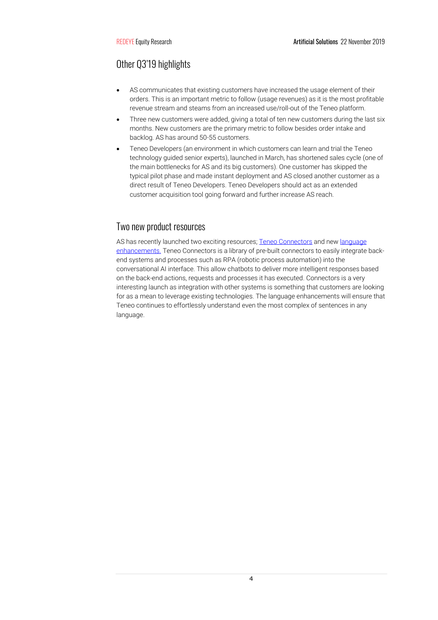## Other Q3'19 highlights

- AS communicates that existing customers have increased the usage element of their orders. This is an important metric to follow (usage revenues) as it is the most profitable revenue stream and steams from an increased use/roll-out of the Teneo platform.
- Three new customers were added, giving a total of ten new customers during the last six months. New customers are the primary metric to follow besides order intake and backlog. AS has around 50-55 customers.
- Teneo Developers (an environment in which customers can learn and trial the Teneo technology guided senior experts), launched in March, has shortened sales cycle (one of the main bottlenecks for AS and its big customers). One customer has skipped the typical pilot phase and made instant deployment and AS closed another customer as a direct result of Teneo Developers. Teneo Developers should act as an extended customer acquisition tool going forward and further increase AS reach.

### Two new product resources

AS has recently launched two exciting resources[; Teneo Connectors](https://www.artificial-solutions.com/blog/artificial-solutions-launches-teneo-connectors-to-deliver-chatbot-super-powers) and ne[w language](https://www.artificial-solutions.com/blog/artificial-solutions-announces-new-language-enhancements-to-teneo)  [enhancements.](https://www.artificial-solutions.com/blog/artificial-solutions-announces-new-language-enhancements-to-teneo) Teneo Connectors is a library of pre-built connectors to easily integrate backend systems and processes such as RPA (robotic process automation) into the conversational AI interface. This allow chatbots to deliver more intelligent responses based on the back-end actions, requests and processes it has executed. Connectors is a very interesting launch as integration with other systems is something that customers are looking for as a mean to leverage existing technologies. The language enhancements will ensure that Teneo continues to effortlessly understand even the most complex of sentences in any language.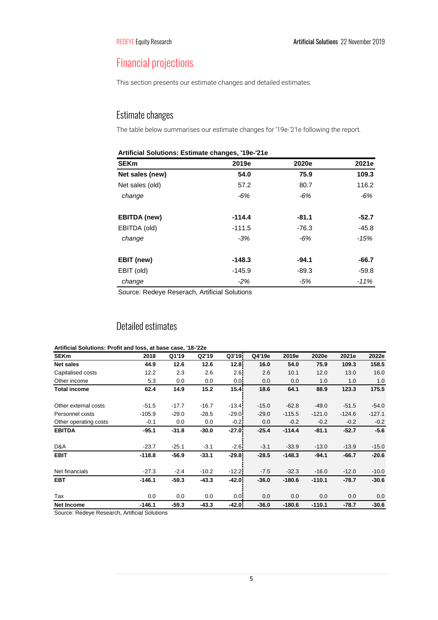# Financial projections

This section presents our estimate changes and detailed estimates.

## Estimate changes

The table below summarises our estimate changes for '19e-'21e following the report.

| <b>SEKm</b>         | 2019e    | 2020e   | 2021e   |
|---------------------|----------|---------|---------|
| Net sales (new)     | 54.0     | 75.9    | 109.3   |
| Net sales (old)     | 57.2     | 80.7    | 116.2   |
| change              | $-6%$    | $-6%$   | $-6%$   |
| <b>EBITDA</b> (new) | $-114.4$ | $-81.1$ | $-52.7$ |
| EBITDA (old)        | $-111.5$ | $-76.3$ | $-45.8$ |
| change              | $-3%$    | $-6%$   | -15%    |
| EBIT (new)          | $-148.3$ | -94.1   | $-66.7$ |
| EBIT (old)          | $-145.9$ | -89.3   | $-59.8$ |
| change              | $-2\%$   | -5%     | $-11%$  |

Source: Redeye Reserach, Artificial Solutions

# Detailed estimates

| Artificial Solutions: Profit and loss, at base case, '18-'22e |          |         |         |         |         |          |          |          |          |
|---------------------------------------------------------------|----------|---------|---------|---------|---------|----------|----------|----------|----------|
| <b>SEKm</b>                                                   | 2018     | Q1'19   | Q2'19   | Q3'19   | Q4'19e  | 2019e    | 2020e    | 2021e    | 2022e    |
| <b>Net sales</b>                                              | 44.9     | 12.6    | 12.6    | 12.8    | 16.0    | 54.0     | 75.9     | 109.3    | 158.5    |
| Capitalised costs                                             | 12.2     | 2.3     | 2.6     | 2.6     | 2.6     | 10.1     | 12.0     | 13.0     | 16.0     |
| Other income                                                  | 5.3      | 0.0     | 0.0     | 0.0     | 0.0     | 0.0      | 1.0      | 1.0      | 1.0      |
| <b>Total income</b>                                           | 62.4     | 14.9    | 15.2    | 15.4    | 18.6    | 64.1     | 88.9     | 123.3    | 175.5    |
| Other external costs                                          | $-51.5$  | $-17.7$ | $-16.7$ | $-13.4$ | $-15.0$ | $-62.8$  | $-49.0$  | $-51.5$  | $-54.0$  |
| Personnel costs                                               | $-105.9$ | $-29.0$ | $-28.5$ | $-29.0$ | $-29.0$ | $-115.5$ | $-121.0$ | $-124.6$ | $-127.1$ |
| Other operating costs                                         | $-0.1$   | 0.0     | 0.0     | $-0.21$ | 0.0     | $-0.2$   | $-0.2$   | $-0.2$   | $-0.2$   |
| <b>EBITDA</b>                                                 | $-95.1$  | $-31.8$ | $-30.0$ | $-27.0$ | $-25.4$ | $-114.4$ | $-81.1$  | $-52.7$  | $-5.6$   |
| D&A                                                           | $-23.7$  | $-25.1$ | $-3.1$  | $-2.6$  | $-3.1$  | $-33.9$  | $-13.0$  | $-13.9$  | $-15.0$  |
| <b>EBIT</b>                                                   | $-118.8$ | $-56.9$ | $-33.1$ | $-29.8$ | $-28.5$ | $-148.3$ | $-94.1$  | $-66.7$  | $-20.6$  |
| Net financials                                                | $-27.3$  | $-2.4$  | $-10.2$ | $-12.2$ | $-7.5$  | $-32.3$  | $-16.0$  | $-12.0$  | $-10.0$  |
| <b>EBT</b>                                                    | $-146.1$ | $-59.3$ | $-43.3$ | $-42.0$ | $-36.0$ | $-180.6$ | $-110.1$ | $-78.7$  | $-30.6$  |
| Tax                                                           | 0.0      | 0.0     | 0.0     | 0.0     | 0.0     | 0.0      | 0.0      | 0.0      | 0.0      |
| <b>Net Income</b>                                             | $-146.1$ | $-59.3$ | $-43.3$ | $-42.0$ | $-36.0$ | $-180.6$ | $-110.1$ | $-78.7$  | $-30.6$  |
|                                                               |          |         |         |         |         |          |          |          |          |

Source: Redeye Research, Artificial Solutions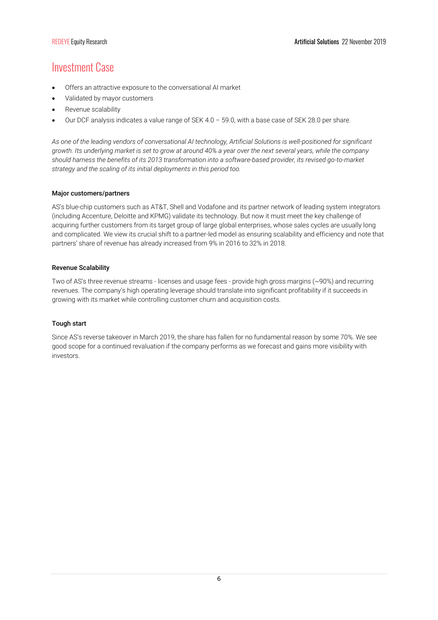# Investment Case

- Offers an attractive exposure to the conversational AI market
- Validated by mayor customers
- Revenue scalability
- Our DCF analysis indicates a value range of SEK 4.0 59.0, with a base case of SEK 28.0 per share.

*As one of the leading vendors of conversational AI technology, Artificial Solutions is well-positioned for significant growth. Its underlying market is set to grow at around 40% a year over the next several years, while the company should harness the benefits of its 2013 transformation into a software-based provider, its revised go-to-market strategy and the scaling of its initial deployments in this period too.* 

#### Major customers/partners

AS's blue-chip customers such as AT&T, Shell and Vodafone and its partner network of leading system integrators (including Accenture, Deloitte and KPMG) validate its technology. But now it must meet the key challenge of acquiring further customers from its target group of large global enterprises, whose sales cycles are usually long and complicated. We view its crucial shift to a partner-led model as ensuring scalability and efficiency and note that partners' share of revenue has already increased from 9% in 2016 to 32% in 2018.

#### Revenue Scalability

Two of AS's three revenue streams - licenses and usage fees - provide high gross margins (~90%) and recurring revenues. The company's high operating leverage should translate into significant profitability if it succeeds in growing with its market while controlling customer churn and acquisition costs.

#### Tough start

Since AS's reverse takeover in March 2019, the share has fallen for no fundamental reason by some 70%. We see good scope for a continued revaluation if the company performs as we forecast and gains more visibility with investors.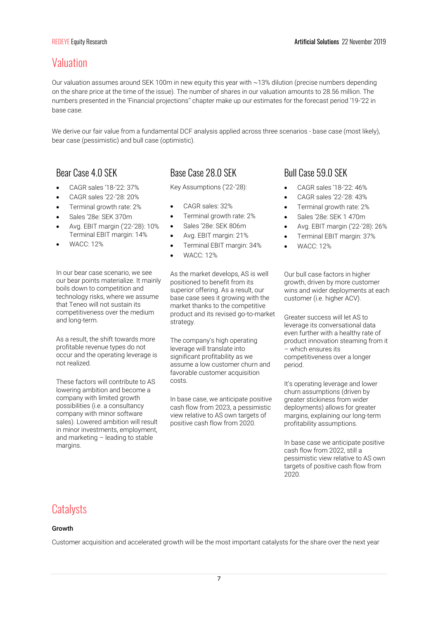# Valuation

Our valuation assumes around SEK 100m in new equity this year with ~13% dilution (precise numbers depending on the share price at the time of the issue). The number of shares in our valuation amounts to 28.56 million. The numbers presented in the 'Financial projections'' chapter make up our estimates for the forecast period '19-'22 in base case.

We derive our fair value from a fundamental DCF analysis applied across three scenarios - base case (most likely), bear case (pessimistic) and bull case (optimistic).

- CAGR sales '18-'22: 37%
- CAGR sales '22-'28: 20%
- Terminal growth rate: 2%
- Sales '28e: SEK 370m
- Avg. EBIT margin ('22-'28): 10% Terminal EBIT margin: 14%
- WACC: 12%

In our bear case scenario, we see our bear points materialize. It mainly boils down to competition and technology risks, where we assume that Teneo will not sustain its competitiveness over the medium and long-term.

As a result, the shift towards more profitable revenue types do not occur and the operating leverage is not realized.

These factors will contribute to AS lowering ambition and become a company with limited growth possibilities (i.e. a consultancy company with minor software sales). Lowered ambition will result in minor investments, employment, and marketing – leading to stable margins.

## Bear Case 4.0 SEK Base Case 28.0 SEK Bull Case 59.0 SEK

Key Assumptions ('22-'28):

- CAGR sales: 32%
- Terminal growth rate: 2%
- Sales '28e: SEK 806m
- Avg. EBIT margin: 21%
- Terminal EBIT margin: 34%
- WACC: 12%

As the market develops, AS is well positioned to benefit from its superior offering. As a result, our base case sees it growing with the market thanks to the competitive product and its revised go-to-market strategy.

The company's high operating leverage will translate into significant profitability as we assume a low customer churn and favorable customer acquisition costs.

In base case, we anticipate positive cash flow from 2023, a pessimistic view relative to AS own targets of positive cash flow from 2020.

- CAGR sales '18-'22: 46%
- CAGR sales '22-'28: 43%
- Terminal growth rate: 2%
- Sales '28e: SEK 1 470m
- Avg. EBIT margin ('22-'28): 26%
- Terminal EBIT margin: 37%
- WACC: 12%

Our bull case factors in higher growth, driven by more customer wins and wider deployments at each customer (i.e. higher ACV).

Greater success will let AS to leverage its conversational data even further with a healthy rate of product innovation steaming from it – which ensures its competitiveness over a longer period.

It's operating leverage and lower churn assumptions (driven by greater stickiness from wider deployments) allows for greater margins, explaining our long-term profitability assumptions.

In base case we anticipate positive cash flow from 2022, still a pessimistic view relative to AS own targets of positive cash flow from 2020.

# **Catalysts**

#### Growth

Customer acquisition and accelerated growth will be the most important catalysts for the share over the next year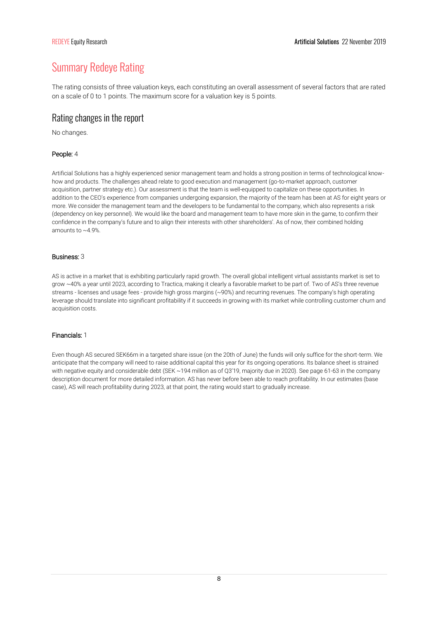# Summary Redeye Rating

The rating consists of three valuation keys, each constituting an overall assessment of several factors that are rated on a scale of 0 to 1 points. The maximum score for a valuation key is 5 points.

### Rating changes in the report

No changes.

### People: 4

Artificial Solutions has a highly experienced senior management team and holds a strong position in terms of technological knowhow and products. The challenges ahead relate to good execution and management (go-to-market approach, customer acquisition, partner strategy etc.). Our assessment is that the team is well-equipped to capitalize on these opportunities. In addition to the CEO's experience from companies undergoing expansion, the majority of the team has been at AS for eight years or more. We consider the management team and the developers to be fundamental to the company, which also represents a risk (dependency on key personnel). We would like the board and management team to have more skin in the game, to confirm their confidence in the company's future and to align their interests with other shareholders'. As of now, their combined holding amounts to  $\approx$  4.9%

#### Business: 3

AS is active in a market that is exhibiting particularly rapid growth. The overall global intelligent virtual assistants market is set to grow ~40% a year until 2023, according to Tractica, making it clearly a favorable market to be part of. Two of AS's three revenue streams - licenses and usage fees - provide high gross margins (~90%) and recurring revenues. The company's high operating leverage should translate into significant profitability if it succeeds in growing with its market while controlling customer churn and acquisition costs.

### Financials: 1

Even though AS secured SEK66m in a targeted share issue (on the 20th of June) the funds will only suffice for the short-term. We anticipate that the company will need to raise additional capital this year for its ongoing operations. Its balance sheet is strained with negative equity and considerable debt (SEK ~194 million as of Q3'19, majority due in 2020). See page 61-63 in the company description document for more detailed information. AS has never before been able to reach profitability. In our estimates (base case), AS will reach profitability during 2023, at that point, the rating would start to gradually increase.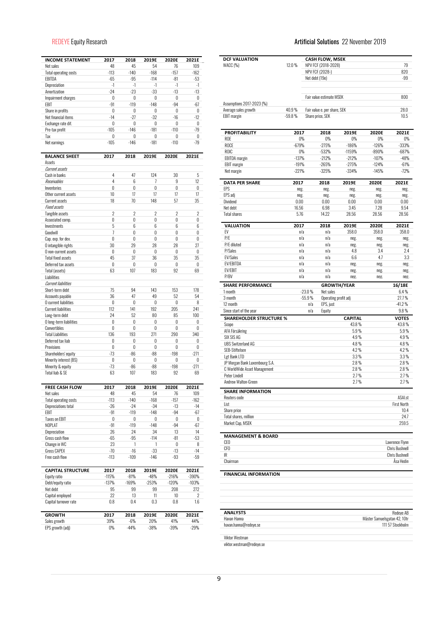| <b>INCOME STATEMENT</b>                 | 2017           |                 |                |                |                |
|-----------------------------------------|----------------|-----------------|----------------|----------------|----------------|
| Net sales                               | 48             | 2018<br>45      | 2019E<br>54    | 2020E<br>76    | 2021E<br>109   |
| <b>Total operating costs</b>            | $-113$         | $-140$          | $-168$         | $-157$         | $-162$         |
| EBITDA                                  | $-65$          | $-95$           | $-114$         | $-81$          | $-53$          |
| Depreciation                            | $-1$           | -1              | $-1$           | $-1$           | $-1$           |
| Amortization                            | $-24$          | -23             | $-33$          | $-13$          | $-13$          |
| Impairment charges                      | 0              | 0               | 0              | 0              | 0              |
| EBIT                                    | $-91$          | $-119$          | $-148$         | $-94$          | $-67$          |
| Share in profits                        | 0              | 0               | 0              | 0              | 0              |
| Net financial items                     | $-14$          | $-27$           | $-32$          | $-16$          | $-12$          |
| Exchange rate dif.                      | 0              | 0               | 0              | 0              | 0              |
| Pre-tax profit                          | $-105$         | $-146$          | $-181$         | $-110$         | $-79$          |
| Tax                                     | 0              | 0               | 0              | 0              | 0              |
| Net earnings                            | $-105$         | $-146$          | $-181$         | $-110$         | $-79$          |
|                                         | 2017           | 2018            |                | 2020E          | 2021E          |
| <b>BALANCE SHEET</b><br>Assets          |                |                 | 2019E          |                |                |
| Current assets                          |                |                 |                |                |                |
| Cash in banks                           | 4              | 47              | 124            | 30             | 5              |
| Receivables                             | 4              | 6               | 7              | 9              | 12             |
| Inventories                             | 0              | 0               | 0              | 0              | 0              |
| Other current assets                    | 10             | 17              | 17             | 17             | 17             |
| Current assets                          | 18             | 70              | 148            | 57             | 35             |
| <b>Fixed assets</b>                     |                |                 |                |                |                |
| Tangible assets                         | $\overline{2}$ | $\overline{2}$  | $\overline{2}$ | $\overline{2}$ | $\overline{2}$ |
| Associated comp.                        | 0              | 0               | 0              | 0              | 0              |
| Investments                             | 5              | 6               | 6              | 6              | 6              |
| Goodwill                                | 7              | 0               | $\mathbf{0}$   | $\mathbf{0}$   | 0              |
| Cap. exp. for dev.                      | 0              | 0               | 0              | 0              | 0              |
| O intangible rights                     | 30             | 29              | 28             | 28             | 27             |
| O non-current assets                    | 0              | 0               | 0              | 0              | 0              |
| <b>Total fixed assets</b>               | 45             | 37              | 36             | 35             | 35             |
| Deferred tax assets                     | 0              | 0               | 0              | 0              | 0              |
| Total (assets)                          | 63             | 107             | 183            | 92             | 69             |
| Liabilities                             |                |                 |                |                |                |
| <b>Current liabilities</b>              |                |                 |                |                |                |
| Short-term debt                         | 75             | 94              | 143            | 153            | 178            |
| Accounts payable                        | 36             | 47              | 49             | 52             | 54             |
| O current liabilities                   | 0              | 0               | 0              | 0              | 8              |
| <b>Current liabilities</b>              | 112            | 141<br>52       | 192<br>80      | 205<br>85      | 241            |
| Long-term debt                          | 24<br>0        | 0               | 0              | 0              | 100<br>0       |
| O long-term liabilities<br>Convertibles | 0              | 0               | 0              | 0              | 0              |
| <b>Total Liabilities</b>                | 136            | 193             | 271            | 290            | 340            |
| Deferred tax liab                       | 0              | 0               | 0              | 0              | 0              |
| Provisions                              | 0              | 0               | 0              | 0              | 0              |
| Shareholders' equity                    | $-73$          | $-86$           | $-88$          | $-198$         | $-271$         |
| Minority interest (BS)                  | 0              | 0               | 0              | 0              | 0              |
| Minority & equity                       | -73            | $-86$           | $-88$          | $-198$         | $-271$         |
| Total liab & SE                         | 63             | 107             | 183            | 92             | 69             |
|                                         |                |                 |                |                |                |
| FREE CASH FLOW                          | 2017           | 2018            | 2019E          | 2020E          | 2021E          |
| Net sales                               | 48             | 45              | 54             | 76             | 109            |
| <b>Total operating costs</b>            | $-113$         | $-140$          | $-168$         | $-157$         | $-162$         |
| Depreciations total                     | $-26$          | $-24$           | $-34$          | $-13$          | $-14$          |
| EBIT                                    | -91            | $-119$          | $-148$         | $-94$          | $-67$          |
| <b>Taxes on EBIT</b>                    | 0              | 0               | 0              | 0              | 0              |
| NOPLAT                                  | $-91$          | $-119$          | $-148$         | $-94$          | $-67$          |
| Depreciation                            | 26             | 24              | 34             | 13             | 14             |
| Gross cash flow                         | -65            | -95             | $-114$         | $-81$          | $-53$          |
| Change in WC                            | 23             | 1               | 1              | 0              | 8              |
| Gross CAPEX<br>Free cash flow           | -70<br>$-113$  | $-16$<br>$-109$ | -33            | $-13$<br>$-93$ | $-14$          |
|                                         |                |                 | $-146$         |                | -59            |
| <b>CAPITAL STRUCTURE</b>                | 2017           | 2018            | 2019E          | 2020E          | 2021E          |
| Equity ratio                            | $-115%$        | $-81%$          | $-48%$         | $-216%$        | $-390%$        |
| Debt/equity ratio                       | $-137%$        | $-169%$         | $-253%$        | $-120%$        | $-103%$        |
| Net debt                                | 95             | 99              | 99             | 208            | 272            |
| Capital employed                        | 22             | 13              | 11             | 10             | 2              |
| Capital turnover rate                   | 0.8            | $0.4\,$         | $0.3\,$        | $0.8\,$        | 1.6            |
|                                         |                |                 |                |                |                |
| <b>GROWTH</b><br>Sales growth           | 2017<br>39%    | 2018<br>$-6%$   | 2019E<br>20%   | 2020E<br>41%   | 2021E<br>44%   |
| EPS growth (adj)                        | 0%             | $-44%$          | $-38%$         | $-39%$         | $-29%$         |
|                                         |                |                 |                |                |                |

### REDEYE Equity Research **Artificial Solutions** 22 November 2019

| <b>DCF VALUATION</b>                 |            | <b>CASH FLOW, MSEK</b>       |                      |              |                                                               |
|--------------------------------------|------------|------------------------------|----------------------|--------------|---------------------------------------------------------------|
| WACC (%)                             | 12.0%      | NPV FCF (2018-2028)          |                      |              | 79                                                            |
|                                      |            | NPV FCF (2028-)              |                      |              | 820                                                           |
|                                      |            | Net debt (19e)               |                      |              | $-99$                                                         |
|                                      |            | Fair value estimate MSEK     |                      |              | 800                                                           |
| Assumptions 2017-2023 (%)            |            |                              |                      |              |                                                               |
| Average sales growth                 | 40.9%      | Fair value e. per share, SEK |                      |              | 28.0                                                          |
| <b>EBIT</b> margin                   | $-59.8%$   | Share price, SEK             |                      |              | 10.5                                                          |
| <b>PROFITABILITY</b>                 | 2017       | 2018                         | 2019E                | 2020E        | 2021E                                                         |
| ROE                                  | 0%         | 0%                           | $0\%$                | $0\%$        | $0\%$                                                         |
| ROCE                                 | $-679%$    | $-275%$                      | $-186%$              | $-126%$      | $-333%$                                                       |
| ROIC                                 | 0%         | $-532%$                      | $-1159%$             | $-890%$      | $-687%$                                                       |
| <b>EBITDA</b> margin                 | $-137%$    | $-212%$                      | $-212%$              | $-107%$      | $-48%$                                                        |
| <b>EBIT</b> margin                   | $-191%$    | $-265%$                      | $-275%$              | $-124%$      | $-61%$                                                        |
| Net margin                           | $-221%$    | $-325%$                      | $-334%$              | $-145%$      | $-72%$                                                        |
| <b>DATA PER SHARE</b>                | 2017       | 2018                         | 2019E                | 2020E        | 2021E                                                         |
| EPS                                  | neg.       | neg.                         | neg.                 | neg.         | neg.                                                          |
| EPS adj                              | neg.       | neg.                         | neg.                 | neg.         | neg.                                                          |
| Dividend                             | 0.00       | 0.00                         | 0.00                 | 0.00         | $0.00\,$                                                      |
| Net debt                             | 16.56      | 6.98                         | 3.45                 | 7.28         | 9.54                                                          |
| Total shares                         | 5.76       | 14.22                        | 28.56                | 28.56        | 28.56                                                         |
| VALUATION                            | 2017       | 2018                         | 2019E                | 2020E        | 2021E                                                         |
| FV                                   | n/a        | n/a                          | 358.0                | 358.0        | 358.0                                                         |
| P/E                                  | n/a        | n/a                          | neg.                 | neg.         | neg.                                                          |
| P/E diluted                          | n/a        | n/a                          | neg.                 | neg.         | neg.                                                          |
| P/Sales                              | n/a        | n/a                          | 4.8                  | 3.4          | 2.4                                                           |
| <b>EV/Sales</b>                      | n/a        | n/a                          | 6.6                  | 4.7          | 3.3                                                           |
| EV/EBITDA                            | n/a        | n/a                          | neg.                 | neg.         | neg.                                                          |
| EV/EBIT<br>P/BV                      | n/a<br>n/a | n/a<br>n/a                   | neg.<br>neg.         | neg.<br>neg. | neg.<br>neg.                                                  |
| <b>SHARE PERFORMANCE</b>             |            |                              | <b>GROWTH/YEAR</b>   |              | 16/18E                                                        |
| 1 month                              |            | $-23.0%$<br>Net sales        |                      |              | 6.4%                                                          |
| 3 month                              |            | $-55.9%$                     | Operating profit adj |              | 27.7%                                                         |
| 12 month                             |            | EPS, just<br>n/a             |                      |              | $-41.2%$                                                      |
| Since start of the year              |            | Equity<br>n/a                |                      |              | 9.8%                                                          |
| <b>SHAREHOLDER STRUCTURE %</b>       |            |                              | <b>CAPITAL</b>       |              | <b>VOTES</b>                                                  |
| Scope                                |            |                              | 43.8 %               |              | 43.8%                                                         |
| AFA Försäkring                       |            |                              | 5.9%                 |              | 5.9%                                                          |
| SIX SIS AG                           |            |                              | 4.9%                 |              | 4.9%                                                          |
| <b>UBS Switzerland AG</b>            |            |                              | 4.8%                 |              | 4.8%                                                          |
| SFB-Stiftelsen                       |            |                              | $4.2\%$              |              | 4.2%                                                          |
| Lgt Bank LTD                         |            |                              | 3.3%                 |              | 3.3%                                                          |
| JP Morgan Bank Luxembourg S.A.       |            |                              | 2.8%                 |              | 2.8%                                                          |
| C WorldWide Asset Management         |            |                              | 2.8%                 |              | 2.8%                                                          |
| Peter Lindell                        |            |                              | 2.7%                 |              | $2.7\%$                                                       |
| Andrew Walton-Green                  |            |                              | 27%                  |              | $2.7\,\%$                                                     |
| <b>SHARE INFORMATION</b>             |            |                              |                      |              |                                                               |
| Reuters code<br>List                 |            |                              |                      |              | ASAI.st<br><b>First North</b>                                 |
| Share price                          |            |                              |                      |              | 10.4                                                          |
| Total shares, million                |            |                              |                      |              | 24.7                                                          |
| Market Cap, MSEK                     |            |                              |                      |              | 259.5                                                         |
| <b>MANAGEMENT &amp; BOARD</b>        |            |                              |                      |              |                                                               |
| CEO                                  |            |                              |                      |              | Lawrence Flynn                                                |
| CFO                                  |            |                              |                      |              | <b>Chris Bushnell</b>                                         |
| IR                                   |            |                              |                      |              | <b>Chris Bushnell</b>                                         |
| Chairman                             |            |                              |                      |              | Ása Hedin                                                     |
| <b>FINANCIAL INFORMATION</b>         |            |                              |                      |              |                                                               |
|                                      |            |                              |                      |              |                                                               |
|                                      |            |                              |                      |              |                                                               |
| <b>ANALYSTS</b>                      |            |                              |                      |              |                                                               |
| Havan Hanna<br>havan.hanna@redeye.se |            |                              |                      |              | Redeve AB<br>Mäster Samuelsgatan 42, 10tr<br>111 57 Stockholm |

viktor.westman@redeye.se

Viktor Westman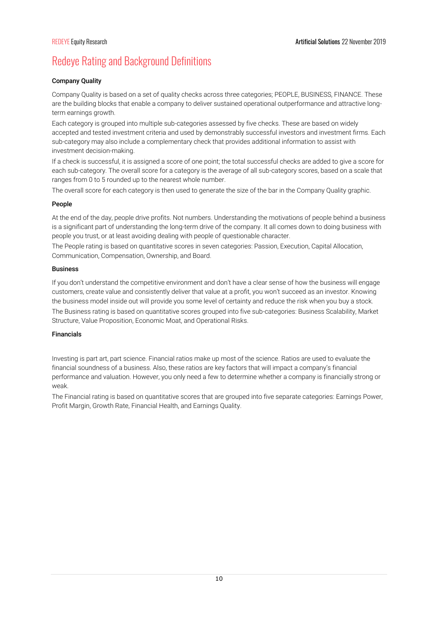# Redeye Rating and Background Definitions

### Company Quality

Company Quality is based on a set of quality checks across three categories; PEOPLE, BUSINESS, FINANCE. These are the building blocks that enable a company to deliver sustained operational outperformance and attractive longterm earnings growth.

Each category is grouped into multiple sub-categories assessed by five checks. These are based on widely accepted and tested investment criteria and used by demonstrably successful investors and investment firms. Each sub-category may also include a complementary check that provides additional information to assist with investment decision-making.

If a check is successful, it is assigned a score of one point; the total successful checks are added to give a score for each sub-category. The overall score for a category is the average of all sub-category scores, based on a scale that ranges from 0 to 5 rounded up to the nearest whole number.

The overall score for each category is then used to generate the size of the bar in the Company Quality graphic.

### People

At the end of the day, people drive profits. Not numbers. Understanding the motivations of people behind a business is a significant part of understanding the long-term drive of the company. It all comes down to doing business with people you trust, or at least avoiding dealing with people of questionable character.

The People rating is based on quantitative scores in seven categories: Passion, Execution, Capital Allocation, Communication, Compensation, Ownership, and Board.

#### Business

If you don't understand the competitive environment and don't have a clear sense of how the business will engage customers, create value and consistently deliver that value at a profit, you won't succeed as an investor. Knowing the business model inside out will provide you some level of certainty and reduce the risk when you buy a stock. The Business rating is based on quantitative scores grouped into five sub-categories: Business Scalability, Market Structure, Value Proposition, Economic Moat, and Operational Risks.

### Financials

Investing is part art, part science. Financial ratios make up most of the science. Ratios are used to evaluate the financial soundness of a business. Also, these ratios are key factors that will impact a company's financial performance and valuation. However, you only need a few to determine whether a company is financially strong or weak.

The Financial rating is based on quantitative scores that are grouped into five separate categories: Earnings Power, Profit Margin, Growth Rate, Financial Health, and Earnings Quality.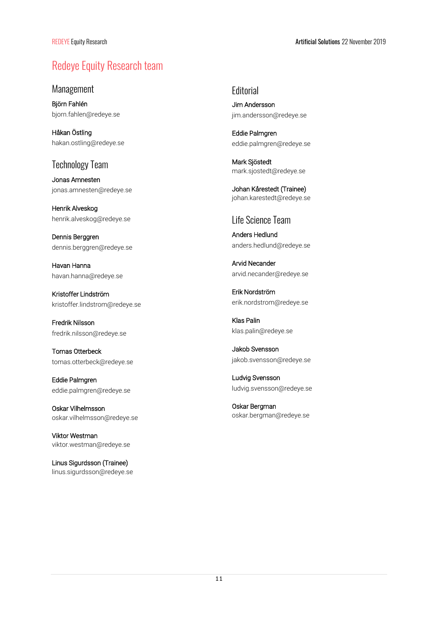# Redeye Equity Research team

Management

Björn Fahlén bjorn.fahlen@redeye.se

Håkan Östling hakan.ostling@redeye.se

## Technology Team

Jonas Amnesten jonas.amnesten@redeye.se

Henrik Alveskog henrik.alveskog@redeye.se

Dennis Berggren dennis.berggren@redeye.se

Havan Hanna havan.hanna@redeye.se

Kristoffer Lindström kristoffer.lindstrom@redeye.se

Fredrik Nilsson fredrik.nilsson@redeye.se

Tomas Otterbeck tomas.otterbeck@redeye.se

Eddie Palmgren eddie.palmgren@redeye.se

Oskar Vilhelmsson oskar.vilhelmsson@redeye.se

Viktor Westman viktor.westman@redeye.se

Linus Sigurdsson (Trainee) linus.sigurdsson@redeye.se **Editorial** 

Jim Andersson jim.andersson@redeye.se

Eddie Palmgren eddie.palmgren@redeye.se

Mark Sjöstedt mark.sjostedt@redeye.se

Johan Kårestedt (Trainee) johan.karestedt@redeye.se

### Life Science Team

Anders Hedlund anders.hedlund@redeye.se

Arvid Necander arvid.necander@redeye.se

Erik Nordström erik.nordstrom@redeye.se

Klas Palin klas.palin@redeye.se

Jakob Svensson jakob.svensson@redeye.se

Ludvig Svensson ludvig.svensson@redeye.se

Oskar Bergman oskar.bergman@redeye.se